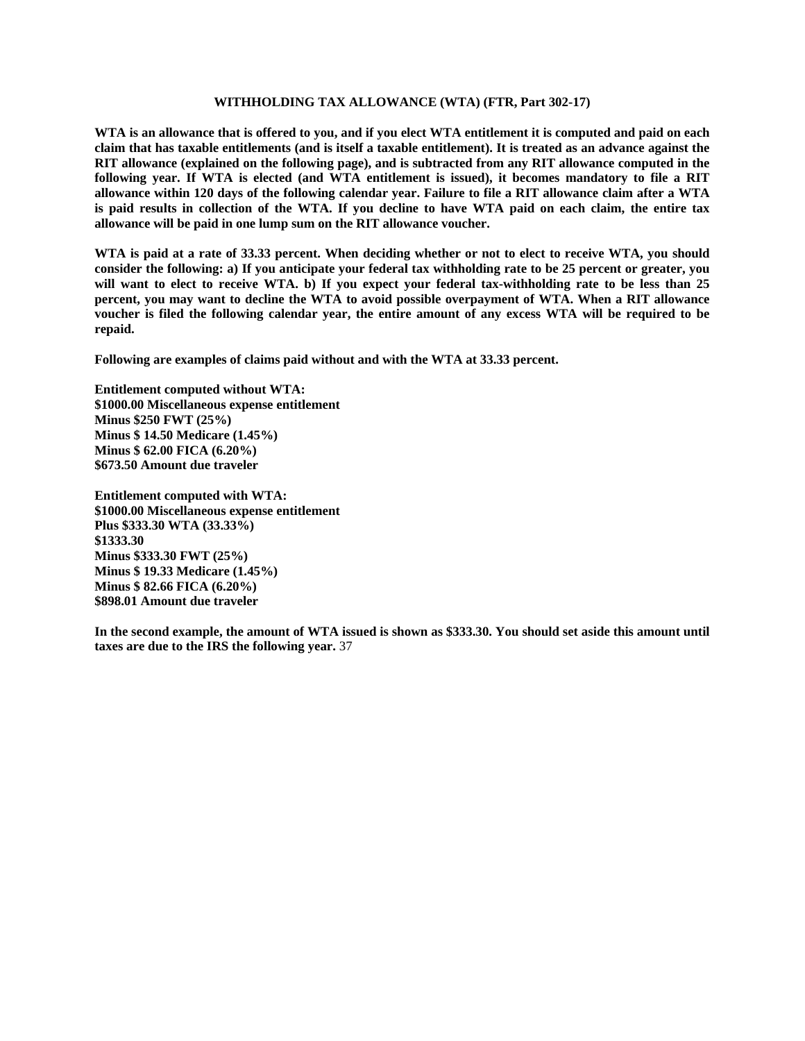## **WITHHOLDING TAX ALLOWANCE (WTA) (FTR, Part 302-17)**

**WTA is an allowance that is offered to you, and if you elect WTA entitlement it is computed and paid on each claim that has taxable entitlements (and is itself a taxable entitlement). It is treated as an advance against the RIT allowance (explained on the following page), and is subtracted from any RIT allowance computed in the following year. If WTA is elected (and WTA entitlement is issued), it becomes mandatory to file a RIT allowance within 120 days of the following calendar year. Failure to file a RIT allowance claim after a WTA is paid results in collection of the WTA. If you decline to have WTA paid on each claim, the entire tax allowance will be paid in one lump sum on the RIT allowance voucher.** 

**WTA is paid at a rate of 33.33 percent. When deciding whether or not to elect to receive WTA, you should consider the following: a) If you anticipate your federal tax withholding rate to be 25 percent or greater, you will want to elect to receive WTA. b) If you expect your federal tax-withholding rate to be less than 25 percent, you may want to decline the WTA to avoid possible overpayment of WTA. When a RIT allowance voucher is filed the following calendar year, the entire amount of any excess WTA will be required to be repaid.** 

**Following are examples of claims paid without and with the WTA at 33.33 percent.** 

**Entitlement computed without WTA: \$1000.00 Miscellaneous expense entitlement Minus \$250 FWT (25%) Minus \$ 14.50 Medicare (1.45%) Minus \$ 62.00 FICA (6.20%) \$673.50 Amount due traveler** 

**Entitlement computed with WTA: \$1000.00 Miscellaneous expense entitlement Plus \$333.30 WTA (33.33%) \$1333.30 Minus \$333.30 FWT (25%) Minus \$ 19.33 Medicare (1.45%) Minus \$ 82.66 FICA (6.20%) \$898.01 Amount due traveler** 

**In the second example, the amount of WTA issued is shown as \$333.30. You should set aside this amount until taxes are due to the IRS the following year.** 37